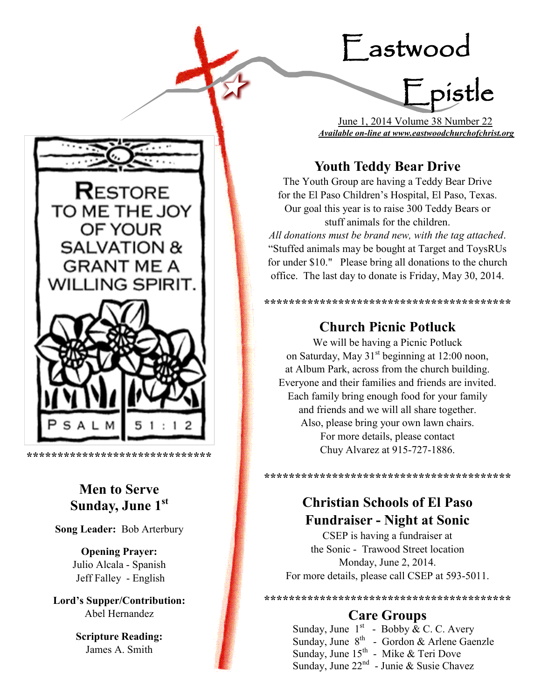# Eastwood



 June 1, 2014 Volume 38 Number 22 *Available on-line at www.eastwoodchurchofchrist.org*

# **Youth Teddy Bear Drive**

The Youth Group are having a Teddy Bear Drive for the El Paso Children's Hospital, El Paso, Texas. Our goal this year is to raise 300 Teddy Bears or stuff animals for the children.

*All donations must be brand new, with the tag attached*. "Stuffed animals may be bought at Target and ToysRUs for under \$10." Please bring all donations to the church office. The last day to donate is Friday, May 30, 2014.

# **Church Picnic Potluck**

**\*\*\*\*\*\*\*\*\*\*\*\*\*\*\*\*\*\*\*\*\*\*\*\*\*\*\*\*\*\*\*\*\*\*\*\*\*\*\*\***

We will be having a Picnic Potluck on Saturday, May  $31<sup>st</sup>$  beginning at 12:00 noon, at Album Park, across from the church building. Everyone and their families and friends are invited. Each family bring enough food for your family and friends and we will all share together. Also, please bring your own lawn chairs. For more details, please contact Chuy Alvarez at 915-727-1886.

# **Christian Schools of El Paso Fundraiser - Night at Sonic**

**\*\*\*\*\*\*\*\*\*\*\*\*\*\*\*\*\*\*\*\*\*\*\*\*\*\*\*\*\*\*\*\*\*\*\*\*\*\*\*\***

CSEP is having a fundraiser at the Sonic - Trawood Street location Monday, June 2, 2014. For more details, please call CSEP at 593-5011.

# **Care Groups**

**\*\*\*\*\*\*\*\*\*\*\*\*\*\*\*\*\*\*\*\*\*\*\*\*\*\*\*\*\*\*\*\*\*\*\*\*\*\*\*\***

Sunday, June  $1<sup>st</sup>$  - Bobby & C. C. Avery Sunday, June  $8^{th}$  - Gordon & Arlene Gaenzle Sunday, June  $15^{th}$  - Mike & Teri Dove Sunday, June 22<sup>nd</sup> - Junie & Susie Chavez



í

# **Men to Serve Sunday, June 1st**

**Song Leader:** Bob Arterbury

**Opening Prayer:** Julio Alcala - Spanish Jeff Falley - English

**Lord's Supper/Contribution:**  Abel Hernandez

> **Scripture Reading:**  James A. Smith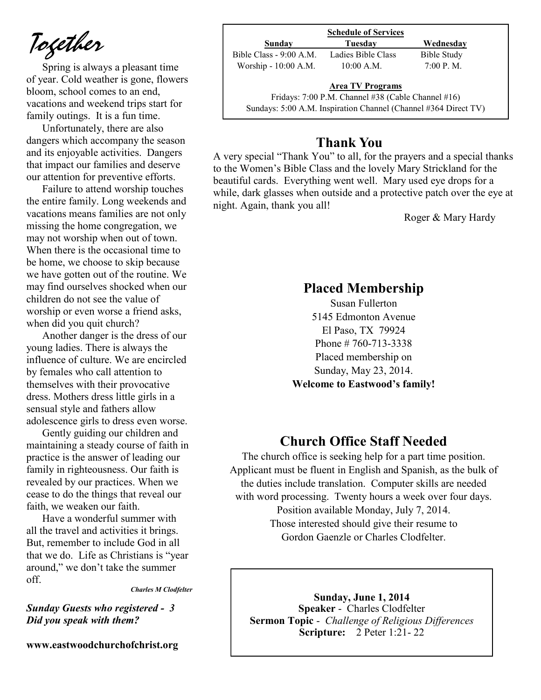*Together*

Spring is always a pleasant time of year. Cold weather is gone, flowers bloom, school comes to an end, vacations and weekend trips start for family outings. It is a fun time.

Unfortunately, there are also dangers which accompany the season and its enjoyable activities. Dangers that impact our families and deserve our attention for preventive efforts.

Failure to attend worship touches the entire family. Long weekends and vacations means families are not only missing the home congregation, we may not worship when out of town. When there is the occasional time to be home, we choose to skip because we have gotten out of the routine. We may find ourselves shocked when our children do not see the value of worship or even worse a friend asks, when did you quit church?

Another danger is the dress of our young ladies. There is always the influence of culture. We are encircled by females who call attention to themselves with their provocative dress. Mothers dress little girls in a sensual style and fathers allow adolescence girls to dress even worse.

Gently guiding our children and maintaining a steady course of faith in practice is the answer of leading our family in righteousness. Our faith is revealed by our practices. When we cease to do the things that reveal our faith, we weaken our faith.

Have a wonderful summer with all the travel and activities it brings. But, remember to include God in all that we do. Life as Christians is "year around," we don't take the summer off.

*Charles M Clodfelter*

### *Sunday Guests who registered - 3 Did you speak with them?*

**www.eastwoodchurchofchrist.org**

|                         | <b>Schedule of Services</b>                          |             |
|-------------------------|------------------------------------------------------|-------------|
| Sunday                  | Tuesday                                              | Wednesday   |
| Bible Class - 9:00 A.M. | Ladies Bible Class                                   | Bible Study |
| Worship - 10:00 A.M.    | $10:00$ A.M.                                         | 7:00 P. M.  |
|                         | <b>Area TV Programs</b>                              |             |
|                         | Fridays: $7:00$ P.M. Channel #38 (Cable Channel #16) |             |

Sundays: 5:00 A.M. Inspiration Channel (Channel #364 Direct TV)

## **Thank You**

A very special "Thank You" to all, for the prayers and a special thanks to the Women's Bible Class and the lovely Mary Strickland for the beautiful cards. Everything went well. Mary used eye drops for a while, dark glasses when outside and a protective patch over the eye at night. Again, thank you all!

Roger & Mary Hardy

## **Placed Membership**

Susan Fullerton 5145 Edmonton Avenue El Paso, TX 79924 Phone # 760-713-3338 Placed membership on Sunday, May 23, 2014. **Welcome to Eastwood's family!**

## **Church Office Staff Needed**

The church office is seeking help for a part time position. Applicant must be fluent in English and Spanish, as the bulk of the duties include translation. Computer skills are needed with word processing. Twenty hours a week over four days. Position available Monday, July 7, 2014. Those interested should give their resume to Gordon Gaenzle or Charles Clodfelter.

**Sunday, June 1, 2014 Speaker** - Charles Clodfelter **Sermon Topic** - *Challenge of Religious Differences*  **Scripture:** 2 Peter 1:21- 22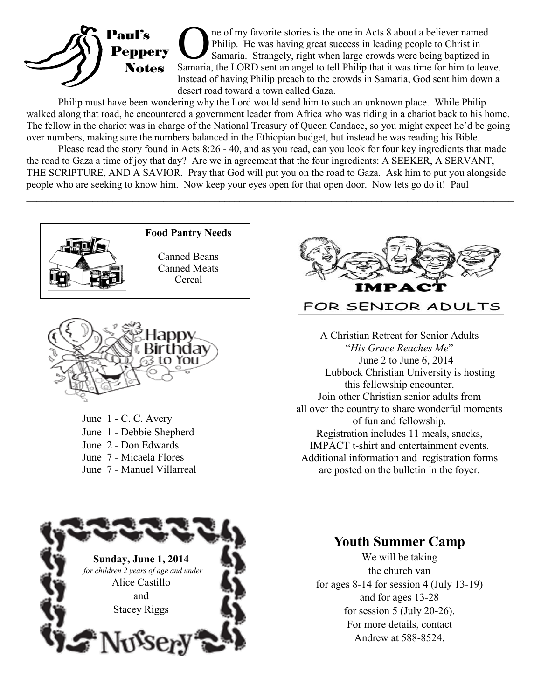

The of my favorite stories is the one in Acts 8 about a believer named Philip. He was having great success in leading people to Christ in Samaria. Strangely, right when large crowds were being baptized in Samaria, the LORD ne of my favorite stories is the one in Acts 8 about a believer named Philip. He was having great success in leading people to Christ in Samaria. Strangely, right when large crowds were being baptized in Instead of having Philip preach to the crowds in Samaria, God sent him down a desert road toward a town called Gaza.

Philip must have been wondering why the Lord would send him to such an unknown place. While Philip walked along that road, he encountered a government leader from Africa who was riding in a chariot back to his home. The fellow in the chariot was in charge of the National Treasury of Queen Candace, so you might expect he'd be going over numbers, making sure the numbers balanced in the Ethiopian budget, but instead he was reading his Bible.

Please read the story found in Acts 8:26 - 40, and as you read, can you look for four key ingredients that made the road to Gaza a time of joy that day? Are we in agreement that the four ingredients: A SEEKER, A SERVANT, THE SCRIPTURE, AND A SAVIOR. Pray that God will put you on the road to Gaza. Ask him to put you alongside people who are seeking to know him. Now keep your eyes open for that open door. Now lets go do it! Paul

 $\_$ 





June 1 - C. C. Avery June 1 - Debbie Shepherd June 2 - Don Edwards June 7 - Micaela Flores June 7 - Manuel Villarreal



## FOR SENIOR ADULTS

 A Christian Retreat for Senior Adults "*His Grace Reaches Me*" June 2 to June 6, 2014 Lubbock Christian University is hosting this fellowship encounter. Join other Christian senior adults from all over the country to share wonderful moments of fun and fellowship. Registration includes 11 meals, snacks, IMPACT t-shirt and entertainment events. Additional information and registration forms are posted on the bulletin in the foyer.



## **Youth Summer Camp**

We will be taking the church van for ages  $8-14$  for session 4 (July 13-19) and for ages 13-28 for session 5 (July 20-26). For more details, contact Andrew at 588-8524.